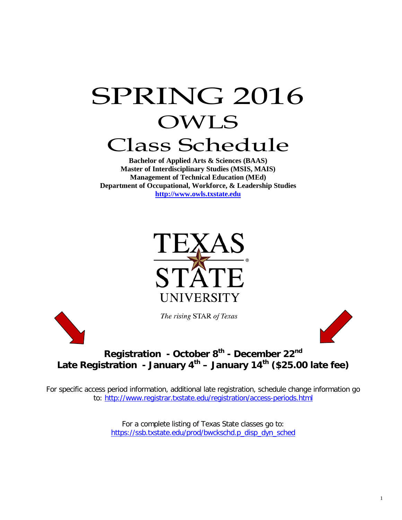# SPRING 2016 OWLS Class Schedule

**Bachelor of Applied Arts & Sciences (BAAS) Master of Interdisciplinary Studies (MSIS, MAIS) Management of Technical Education (MEd) Department of Occupational, Workforce, & Leadership Studies [http://www.owls.txstate.edu](http://www.owls.txstate.edu/)**



The rising STAR of Texas



# **Registration - October 8th - December 22nd Late Registration - January 4th – January 14th (\$25.00 late fee)**

For specific access period information, additional late registration, schedule change information go to:<http://www.registrar.txstate.edu/registration/access-periods.html>

> For a complete listing of Texas State classes go to: [https://ssb.txstate.edu/prod/bwckschd.p\\_disp\\_dyn\\_sched](https://ssb.txstate.edu/prod/bwckschd.p_disp_dyn_sched)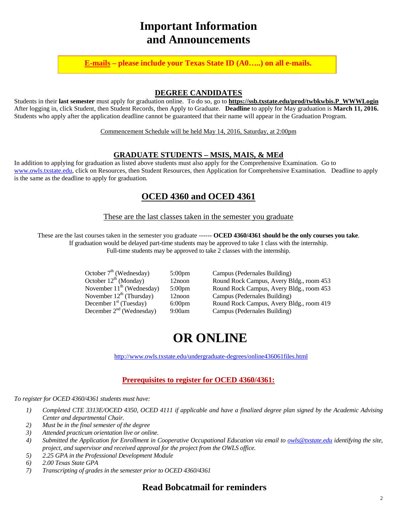# **Important Information and Announcements**

**E-mails – please include your Texas State ID (A0…..) on all e-mails.**

#### **DEGREE CANDIDATES**

Students in their **last semester** must apply for graduation online. To do so, go to **[https://ssb.txstate.edu/prod/twbkwbis.P\\_WWWLogin](https://ssb.txstate.edu/prod/twbkwbis.P_WWWLogin)** After logging in, click Student, then Student Records, then Apply to Graduate. **Deadline** to apply for May graduation is **March 11, 2016.** Students who apply after the application deadline cannot be guaranteed that their name will appear in the Graduation Program.

Commencement Schedule will be held May 14, 2016, Saturday, at 2:00pm

#### **GRADUATE STUDENTS – MSIS, MAIS, & MEd**

In addition to applying for graduation as listed above students must also apply for the Comprehensive Examination. Go to [www.owls.txstate.edu,](http://www.owls.txstate.edu/) click on Resources, then Student Resources, then Application for Comprehensive Examination. Deadline to apply is the same as the deadline to apply for graduation.

### **OCED 4360 and OCED 4361**

These are the last classes taken in the semester you graduate

These are the last courses taken in the semester you graduate ------ **OCED 4360/4361 should be the only courses you take**. If graduation would be delayed part-time students may be approved to take 1 class with the internship. Full-time students may be approved to take 2 classes with the internship.

| October $7th$ (Wednesday)      | $5:00$ pm          | Campu |
|--------------------------------|--------------------|-------|
| October $12^{th}$ (Monday)     | 12noon             | Round |
| November $11^{th}$ (Wednesday) | 5:00 <sub>pm</sub> | Round |
| November $12^{th}$ (Thursday)  | 12noon             | Campu |
| December $1st$ (Tuesday)       | 6:00 <sub>pm</sub> | Round |
| December $2nd$ (Wednesday)     | 9:00am             | Campu |

Is (Pedernales Building) Rock Campus, Avery Bldg., room 453 Rock Campus, Avery Bldg., room 453 Is (Pedernales Building) Rock Campus, Avery Bldg., room 419 us (Pedernales Building)

# **OR ONLINE**

<http://www.owls.txstate.edu/undergraduate-degrees/online436061files.html>

#### **Prerequisites to register for OCED 4360/4361:**

*To register for OCED 4360/4361 students must have:*

- *1) Completed CTE 3313E/OCED 4350, OCED 4111 if applicable and have a finalized degree plan signed by the Academic Advising Center and departmental Chair.*
- *2) Must be in the final semester of the degree*
- *3) Attended practicum orientation live or online.*
- *4) Submitted the Application for Enrollment in Cooperative Occupational Education via email to [owls@txstate.edu](mailto:owls@txstate.edu) identifying the site, project, and supervisor and received approval for the project from the OWLS office.*
- *5) 2.25 GPA in the Professional Development Module*
- *6) 2.00 Texas State GPA*
- *7) Transcripting of grades in the semester prior to OCED 4360/4361*

#### **Read Bobcatmail for reminders**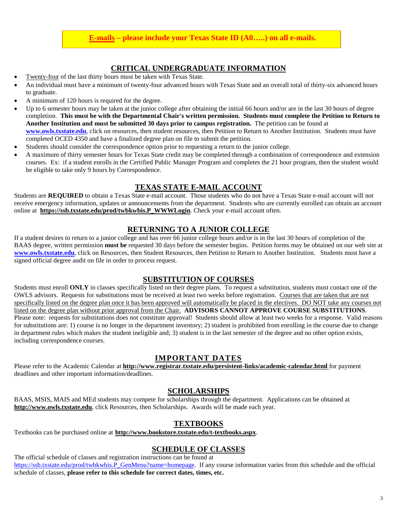#### **E-mails – please include your Texas State ID (A0…..) on all e-mails.**

#### **CRITICAL UNDERGRADUATE INFORMATION**

- Twenty-four of the last thirty hours must be taken with Texas State.
- An individual must have a minimum of twenty-four advanced hours with Texas State and an overall total of thirty-six advanced hours to graduate.
- A minimum of 120 hours is required for the degree.
- Up to 6 semester hours may be taken at the junior college after obtaining the initial 66 hours and/or are in the last 30 hours of degree completion. **This must be with the Departmental Chair's written permission. Students must complete the Petition to Return to Another Institution and must be submitted 30 days prior to campus registration.** The petition can be found at **[www.owls.txstate.edu](http://www.owls.txstate.edu/)**, click on resources, then student resources, then Petition to Return to Another Institution. Students must have completed OCED 4350 and have a finalized degree plan on file to submit the petition.
- Students should consider the correspondence option prior to requesting a return to the junior college.
- A maximum of thirty semester hours for Texas State credit may be completed through a combination of correspondence and extension courses. Ex: if a student enrolls in the Certified Public Manager Program and completes the 21 hour program, then the student would be eligible to take only 9 hours by Correspondence.

#### **TEXAS STATE E-MAIL ACCOUNT**

Students are **REQUIRED** to obtain a Texas State e-mail account. Those students who do not have a Texas State e-mail account will not receive emergency information, updates or announcements from the department. Students who are currently enrolled can obtain an account online at **[https://ssb.txstate.edu/prod/twbkwbis.P\\_WWWLogin](https://ssb.txstate.edu/prod/twbkwbis.P_WWWLogin)**. Check your e-mail account often.

#### **RETURNING TO A JUNIOR COLLEGE**

If a student desires to return to a junior college and has over 66 junior college hours and/or is in the last 30 hours of completion of the BAAS degree, written permission **must be** requested 30 days before the semester begins. Petition forms may be obtained on our web site at **[www.owls.txstate.edu](http://www.owls.txstate.edu/)**, click on Resources, then Student Resources, then Petition to Return to Another Institution. Students must have a signed official degree audit on file in order to process request.

#### **SUBSTITUTION OF COURSES**

Students must enroll **ONLY** in classes specifically listed on their degree plans. To request a substitution, students must contact one of the OWLS advisors. Requests for substitutions must be received at least two weeks before registration. Courses that are taken that are not specifically listed on the degree plan once it has been approved will automatically be placed in the electives. DO NOT take any courses not listed on the degree plan without prior approval from the Chair. **ADVISORS CANNOT APPROVE COURSE SUBSTITUTIONS**. Please note: requests for substitutions does not constitute approval! Students should allow at least two weeks for a response. Valid reasons for substitutions are: 1) course is no longer in the department inventory; 2) student is prohibited from enrolling in the course due to change in department rules which makes the student ineligible and; 3) student is in the last semester of the degree and no other option exists, including correspondence courses.

#### **IMPORTANT DATES**

Please refer to the Academic Calendar at **<http://www.registrar.txstate.edu/persistent-links/academic-calendar.html>** for payment deadlines and other important information/deadlines.

#### **SCHOLARSHIPS**

BAAS, MSIS, MAIS and MEd students may compete for scholarships through the department. Applications can be obtained at **[http://www.owls.txstate.edu](http://www.oced.txstate.edu/)**, click Resources, then Scholarships. Awards will be made each year.

#### **TEXTBOOKS**

Textbooks can be purchased online at **<http://www.bookstore.txstate.edu/t-textbooks.aspx>**.

#### **SCHEDULE OF CLASSES**

The official schedule of classes and registration instructions can be found at [https://ssb.txstate.edu/prod/twbkwbis.P\\_GenMenu?name=homepage.](https://ssb.txstate.edu/prod/twbkwbis.P_GenMenu?name=homepage) If any course information varies from this schedule and the official schedule of classes, **please refer to this schedule for correct dates, times, etc.**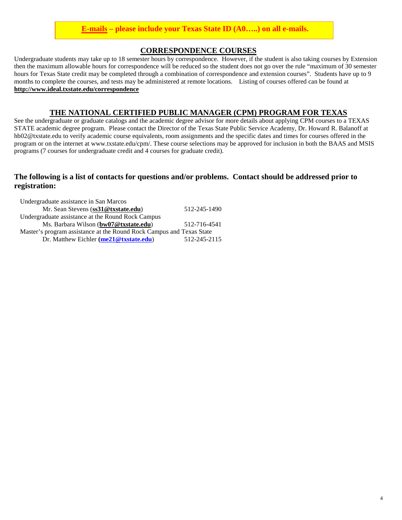#### **E-mails – please include your Texas State ID (A0…..) on all e-mails.**

#### **CORRESPONDENCE COURSES**

Undergraduate students may take up to 18 semester hours by correspondence. However, if the student is also taking courses by Extension then the maximum allowable hours for correspondence will be reduced so the student does not go over the rule "maximum of 30 semester hours for Texas State credit may be completed through a combination of correspondence and extension courses". Students have up to 9 months to complete the courses, and tests may be administered at remote locations. Listing of courses offered can be found at **<http://www.ideal.txstate.edu/correspondence>**

#### **THE NATIONAL CERTIFIED PUBLIC MANAGER (CPM) PROGRAM FOR TEXAS**

See the undergraduate or graduate catalogs and the academic degree advisor for more details about applying CPM courses to a TEXAS STATE academic degree program. Please contact the Director of the Texas State Public Service Academy, Dr. Howard R. Balanoff at hb02@txstate.edu to verify academic course equivalents, room assignments and the specific dates and times for courses offered in the program or on the internet at www.txstate.edu/cpm/. These course selections may be approved for inclusion in both the BAAS and MSIS programs (7 courses for undergraduate credit and 4 courses for graduate credit).

#### **The following is a list of contacts for questions and/or problems. Contact should be addressed prior to registration:**

| Undergraduate assistance in San Marcos                               |              |
|----------------------------------------------------------------------|--------------|
| Mr. Sean Stevens (ss31@txstate.edu)                                  | 512-245-1490 |
| Undergraduate assistance at the Round Rock Campus                    |              |
| Ms. Barbara Wilson (bw07@txstate.edu)                                | 512-716-4541 |
| Master's program assistance at the Round Rock Campus and Texas State |              |
| Dr. Matthew Eichler $(me21@txstate.edu)$                             | 512-245-2115 |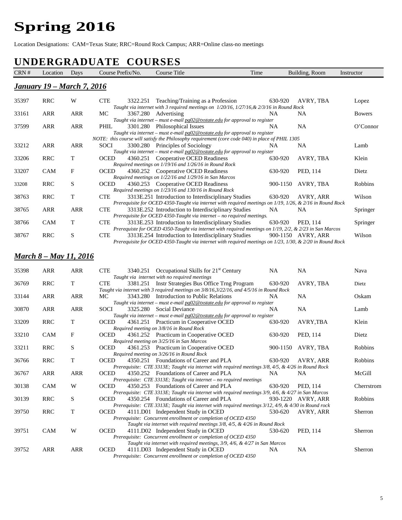# **Spring 2016**

Location Designations: CAM=Texas State; RRC=Round Rock Campus; ARR=Online class-no meetings

# **UNDERGRADUATE COURSES**

| CRN # | Location                           | Days        | Course Prefix/No. | Course Title                                                                                                                                                                                                                                                                | Time      | Building, Room        | Instructor    |
|-------|------------------------------------|-------------|-------------------|-----------------------------------------------------------------------------------------------------------------------------------------------------------------------------------------------------------------------------------------------------------------------------|-----------|-----------------------|---------------|
|       | <u> January 19 – March 7, 2016</u> |             |                   |                                                                                                                                                                                                                                                                             |           |                       |               |
|       |                                    |             |                   |                                                                                                                                                                                                                                                                             |           |                       |               |
| 35397 | <b>RRC</b>                         | W           | <b>CTE</b>        | 3322.251 Teaching/Training as a Profession                                                                                                                                                                                                                                  | 630-920   | AVRY, TBA             | Lopez         |
| 33161 | <b>ARR</b>                         | <b>ARR</b>  | МC                | Taught via internet with 3 required meetings on $1/20/16$ , $1/27/16$ , & $2/3/16$ in Round Rock<br>3367.280 Advertising<br>Taught via internet - must e-mail pg02@txstate.edu for approval to register                                                                     | NA        | NA                    | <b>Bowers</b> |
| 37599 | ARR                                | <b>ARR</b>  | PHIL              | 3301.280 Philosophical Issues<br>Taught via internet - must e-mail pg02@txstate.edu for approval to register                                                                                                                                                                | NA        | <b>NA</b>             | O'Connor      |
| 33212 | ARR                                | ARR         | SOCI              | NOTE: this course will satisfy the Philosophy requirement (core code 040) in place of PHIL 1305<br>3300.280 Principles of Sociology<br>Taught via internet - must e-mail pg02@txstate.edu for approval to register                                                          | NA        | <b>NA</b>             | Lamb          |
| 33206 | <b>RRC</b>                         | T           | OCED              | 4360.251 Cooperative OCED Readiness<br>Required meetings on 1/19/16 and 1/26/16 in Round Rock                                                                                                                                                                               | 630-920   | AVRY, TBA             | Klein         |
| 33207 | CAM                                | F           | OCED              | 4360.252 Cooperative OCED Readiness<br>Required meetings on 1/22/16 and 1/29/16 in San Marcos                                                                                                                                                                               | 630-920   | PED, 114              | Dietz         |
| 33208 | <b>RRC</b>                         | S           | OCED              | 4360.253 Cooperative OCED Readiness<br>Required meetings on 1/23/16 and 130/16 in Round Rock                                                                                                                                                                                |           | 900-1150<br>AVRY, TBA | Robbins       |
| 38763 | <b>RRC</b>                         | T           | <b>CTE</b>        | 3313E.251 Introduction to Interdisciplinary Studies                                                                                                                                                                                                                         | 630-920   | AVRY, ARR             | Wilson        |
| 38765 | <b>ARR</b>                         | <b>ARR</b>  | <b>CTE</b>        | Prerequisite for OCED 4350-Taught via internet with required meetings on 1/19, 1/26, & 2/16 in Round Rock<br>3313E.252 Introduction to Interdisciplinary Studies<br>Prerequisite for OCED 4350-Taught via internet - no required meetings.                                  | <b>NA</b> | NA.                   | Springer      |
| 38766 | <b>CAM</b>                         | T           | <b>CTE</b>        | 3313E.253 Introduction to Interdisciplinary Studies                                                                                                                                                                                                                         | 630-920   | PED, 114              | Springer      |
| 38767 | <b>RRC</b>                         | S           | <b>CTE</b>        | Prerequiste for OCED 4350-Taught via internet with required meetings on 1/19, 2/2, & 2/23 in San Marcos<br>3313E.254 Introduction to Interdisciplinary Studies<br>Prerequisite for OCED 4350-Taught via internet with required meetings on 1/23, 1/30, & 2/20 in Round Rock |           | 900-1150 AVRY, ARR    | Wilson        |
|       | <u> March 8 – May 11, 2016</u>     |             |                   |                                                                                                                                                                                                                                                                             |           |                       |               |
| 35398 | ARR                                | <b>ARR</b>  | <b>CTE</b>        | 3340.251 Occupational Skills for 21 <sup>st</sup> Century<br>Taught via internet with no required meetings                                                                                                                                                                  | <b>NA</b> | <b>NA</b>             | Nava          |
| 36769 | <b>RRC</b>                         | T           | <b>CTE</b>        | 3381.251 Instr Strategies Bus Office Trng Program<br>Taught via internet with 3 required meetings on $3/8/16, 3/22/16$ , and $4/5/16$ in Round Rock                                                                                                                         | 630-920   | AVRY, TBA             | Dietz         |
| 33144 | <b>ARR</b>                         | <b>ARR</b>  | МC                | 3343.280 Introduction to Public Relations                                                                                                                                                                                                                                   | <b>NA</b> | NA                    | Oskam         |
| 30870 | <b>ARR</b>                         | <b>ARR</b>  | SOCI              | Taught via internet - must e-mail pg02@txstate.edu for approval to register<br>3325.280 Social Deviance                                                                                                                                                                     | NA.       | <b>NA</b>             | Lamb          |
| 33209 | <b>RRC</b>                         | T           | OCED              | Taught via internet – must e-mail pg02@txstate.edu for approval to register<br>4361.251 Practicum in Cooperative OCED                                                                                                                                                       | 630-920   | AVRY, TBA             | Klein         |
| 33210 | CAM                                | F           | <b>OCED</b>       | Required meeting on 3/8/16 in Round Rock<br>4361.252 Practicum in Cooperative OCED<br>Required meeting on 3/25/16 in San Marcos                                                                                                                                             | 630-920   | PED, 114              | Dietz         |
| 33211 | <b>RRC</b>                         | S           | OCED              | 4361.253 Practicum in Cooperative OCED                                                                                                                                                                                                                                      |           | 900-1150<br>AVRY, TBA | Robbins       |
| 36766 | <b>RRC</b>                         | T           | <b>OCED</b>       | Required meeting on 3/26/16 in Round Rock<br>4350.251 Foundations of Career and PLA                                                                                                                                                                                         | 630-920   | AVRY, ARR             | Robbins       |
| 36767 | ARR                                | <b>ARR</b>  | <b>OCED</b>       | Prerequisite: CTE 3313E; Taught via internet with required meetings 3/8, 4/5, & 4/26 in Round Rock<br>4350.252 Foundations of Career and PLA                                                                                                                                | NA        | NA.                   | McGill        |
| 30138 | <b>CAM</b>                         | W           | <b>OCED</b>       | Prerequisite: CTE 3313E; Taught via internet - no required meetings<br>4350.253 Foundations of Career and PLA                                                                                                                                                               | 630-920   | PED, 114              | Cherrstrom    |
| 30139 | <b>RRC</b>                         | S           | OCED              | Prerequisite: CTE 3313E; Taught via internet with required meetings 3/9, 4/6, & 4/27 in San Marcos<br>4350.254 Foundations of Career and PLA                                                                                                                                |           | 930-1220<br>AVRY, ARR | Robbins       |
| 39750 | <b>RRC</b>                         | $\mathbf T$ | <b>OCED</b>       | Prerequisite: CTE 3313E; Taught via internet with required meetings 3/12, 4/9, & 4/30 in Round rock<br>4111.D01 Independent Study in OCED                                                                                                                                   | 530-620   | AVRY, ARR             | Sherron       |
|       |                                    |             |                   | Prerequisite: Concurrent enrollment or completion of OCED 4350<br>Taught via internet with required meetings 3/8, 4/5, & 4/26 in Round Rock                                                                                                                                 |           |                       |               |
| 39751 | <b>CAM</b>                         | W           | <b>OCED</b>       | 4111.D02 Independent Study in OCED<br>Prerequisite: Concurrent enrollment or completion of OCED 4350                                                                                                                                                                        | 530-620   | PED, 114              | Sherron       |